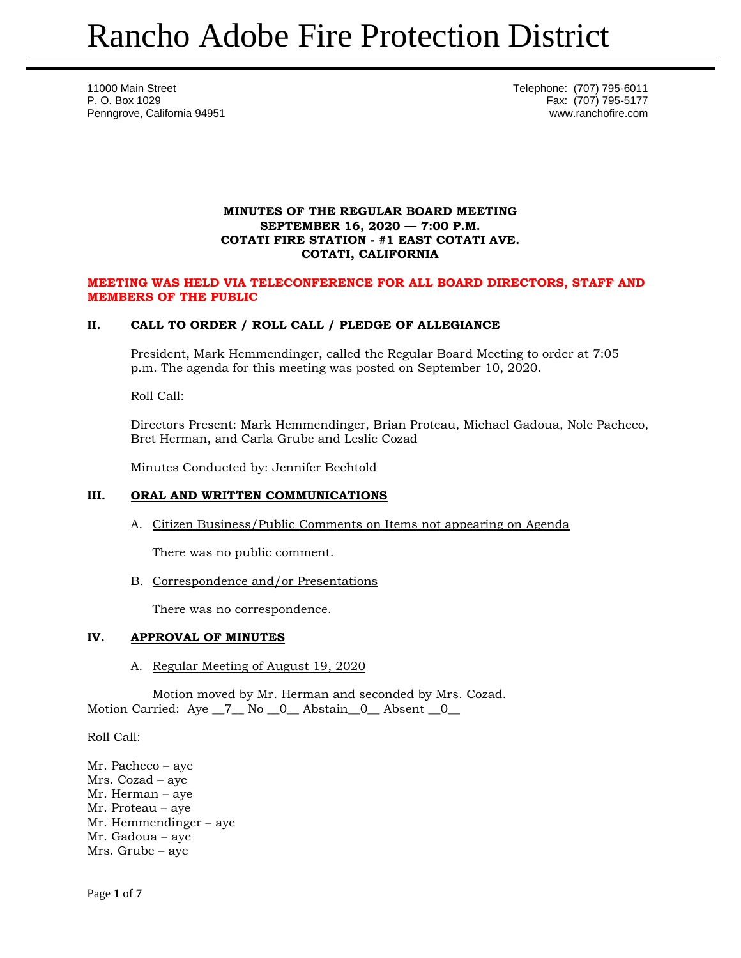11000 Main Street **Telephone:** (707) 795-6011 P. O. Box 1029 Fax: (707) 795-5177 Penngrove, California 94951 www.ranchofire.com

## **MINUTES OF THE REGULAR BOARD MEETING SEPTEMBER 16, 2020 — 7:00 P.M. COTATI FIRE STATION - #1 EAST COTATI AVE. COTATI, CALIFORNIA**

## **MEETING WAS HELD VIA TELECONFERENCE FOR ALL BOARD DIRECTORS, STAFF AND MEMBERS OF THE PUBLIC**

# **II. CALL TO ORDER / ROLL CALL / PLEDGE OF ALLEGIANCE**

President, Mark Hemmendinger, called the Regular Board Meeting to order at 7:05 p.m. The agenda for this meeting was posted on September 10, 2020.

Roll Call:

Directors Present: Mark Hemmendinger, Brian Proteau, Michael Gadoua, Nole Pacheco, Bret Herman, and Carla Grube and Leslie Cozad

Minutes Conducted by: Jennifer Bechtold

# **III. ORAL AND WRITTEN COMMUNICATIONS**

A. Citizen Business/Public Comments on Items not appearing on Agenda

There was no public comment.

B. Correspondence and/or Presentations

There was no correspondence.

## **IV. APPROVAL OF MINUTES**

A. Regular Meeting of August 19, 2020

Motion moved by Mr. Herman and seconded by Mrs. Cozad. Motion Carried: Aye \_7\_ No \_0\_ Abstain \_0\_ Absent \_0\_

Roll Call:

Mr. Pacheco – aye Mrs. Cozad – aye Mr. Herman – aye Mr. Proteau – aye Mr. Hemmendinger – aye Mr. Gadoua – aye Mrs. Grube – aye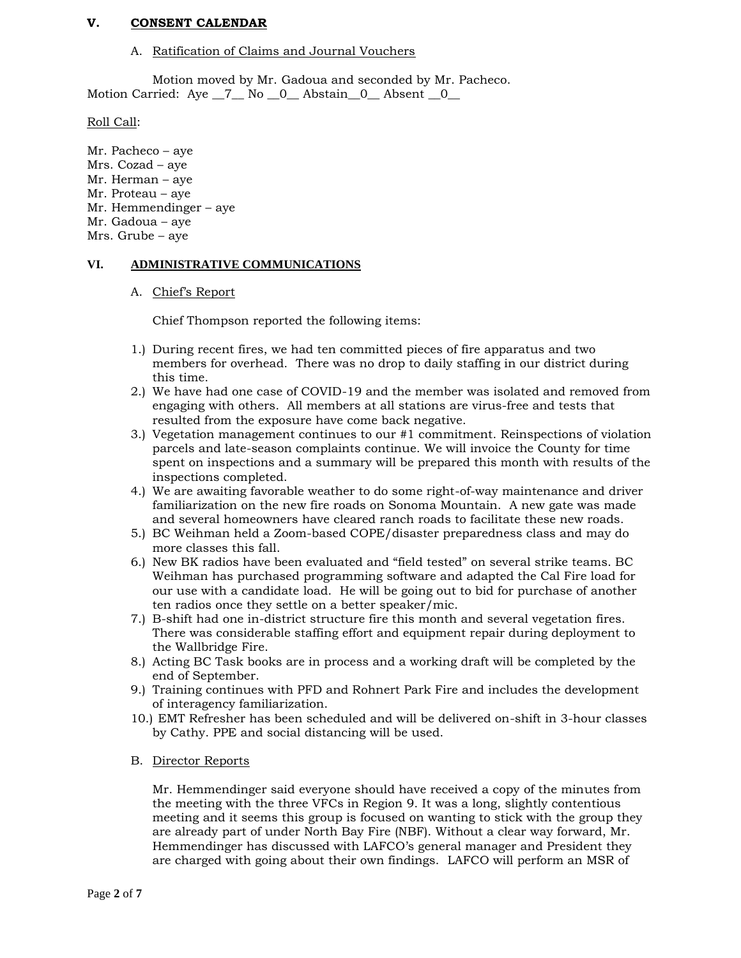## **V. CONSENT CALENDAR**

#### A. Ratification of Claims and Journal Vouchers

Motion moved by Mr. Gadoua and seconded by Mr. Pacheco. Motion Carried: Aye \_7\_ No \_0\_ Abstain\_0\_ Absent \_0\_

Roll Call:

Mr. Pacheco – aye Mrs. Cozad – aye Mr. Herman – aye Mr. Proteau – aye Mr. Hemmendinger – aye Mr. Gadoua – aye Mrs. Grube – aye

#### **VI. ADMINISTRATIVE COMMUNICATIONS**

#### A. Chief's Report

Chief Thompson reported the following items:

- 1.) During recent fires, we had ten committed pieces of fire apparatus and two members for overhead. There was no drop to daily staffing in our district during this time.
- 2.) We have had one case of COVID-19 and the member was isolated and removed from engaging with others. All members at all stations are virus-free and tests that resulted from the exposure have come back negative.
- 3.) Vegetation management continues to our #1 commitment. Reinspections of violation parcels and late-season complaints continue. We will invoice the County for time spent on inspections and a summary will be prepared this month with results of the inspections completed.
- 4.) We are awaiting favorable weather to do some right-of-way maintenance and driver familiarization on the new fire roads on Sonoma Mountain. A new gate was made and several homeowners have cleared ranch roads to facilitate these new roads.
- 5.) BC Weihman held a Zoom-based COPE/disaster preparedness class and may do more classes this fall.
- 6.) New BK radios have been evaluated and "field tested" on several strike teams. BC Weihman has purchased programming software and adapted the Cal Fire load for our use with a candidate load. He will be going out to bid for purchase of another ten radios once they settle on a better speaker/mic.
- 7.) B-shift had one in-district structure fire this month and several vegetation fires. There was considerable staffing effort and equipment repair during deployment to the Wallbridge Fire.
- 8.) Acting BC Task books are in process and a working draft will be completed by the end of September.
- 9.) Training continues with PFD and Rohnert Park Fire and includes the development of interagency familiarization.
- 10.) EMT Refresher has been scheduled and will be delivered on-shift in 3-hour classes by Cathy. PPE and social distancing will be used.
- B. Director Reports

Mr. Hemmendinger said everyone should have received a copy of the minutes from the meeting with the three VFCs in Region 9. It was a long, slightly contentious meeting and it seems this group is focused on wanting to stick with the group they are already part of under North Bay Fire (NBF). Without a clear way forward, Mr. Hemmendinger has discussed with LAFCO's general manager and President they are charged with going about their own findings. LAFCO will perform an MSR of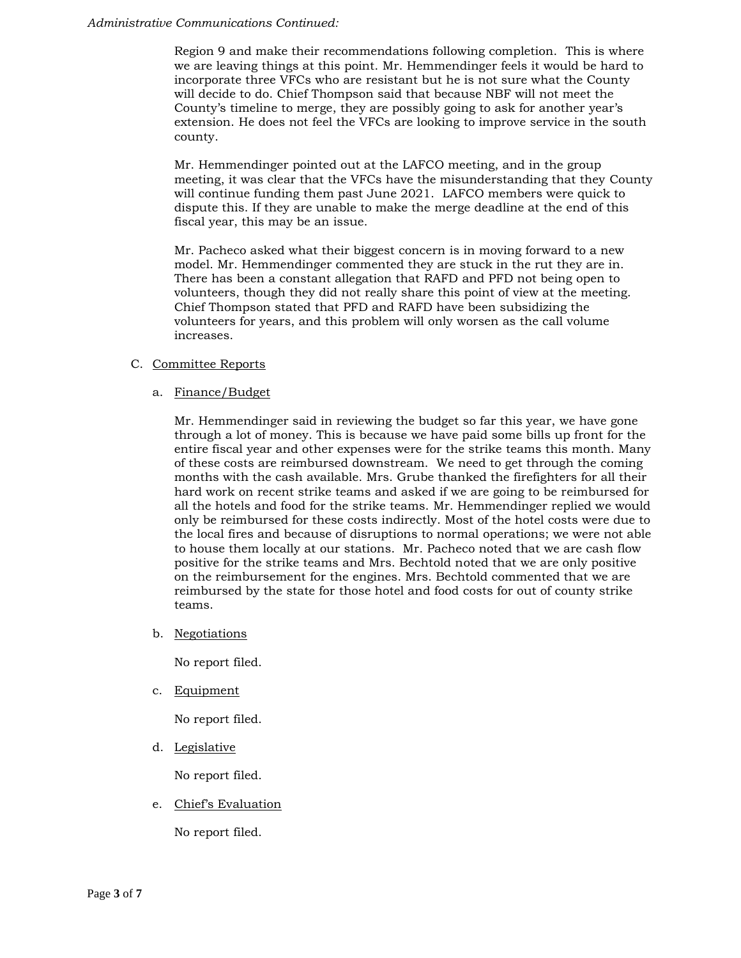#### *Administrative Communications Continued:*

Region 9 and make their recommendations following completion. This is where we are leaving things at this point. Mr. Hemmendinger feels it would be hard to incorporate three VFCs who are resistant but he is not sure what the County will decide to do. Chief Thompson said that because NBF will not meet the County's timeline to merge, they are possibly going to ask for another year's extension. He does not feel the VFCs are looking to improve service in the south county.

Mr. Hemmendinger pointed out at the LAFCO meeting, and in the group meeting, it was clear that the VFCs have the misunderstanding that they County will continue funding them past June 2021. LAFCO members were quick to dispute this. If they are unable to make the merge deadline at the end of this fiscal year, this may be an issue.

Mr. Pacheco asked what their biggest concern is in moving forward to a new model. Mr. Hemmendinger commented they are stuck in the rut they are in. There has been a constant allegation that RAFD and PFD not being open to volunteers, though they did not really share this point of view at the meeting. Chief Thompson stated that PFD and RAFD have been subsidizing the volunteers for years, and this problem will only worsen as the call volume increases.

# C. Committee Reports

a. Finance/Budget

Mr. Hemmendinger said in reviewing the budget so far this year, we have gone through a lot of money. This is because we have paid some bills up front for the entire fiscal year and other expenses were for the strike teams this month. Many of these costs are reimbursed downstream. We need to get through the coming months with the cash available. Mrs. Grube thanked the firefighters for all their hard work on recent strike teams and asked if we are going to be reimbursed for all the hotels and food for the strike teams. Mr. Hemmendinger replied we would only be reimbursed for these costs indirectly. Most of the hotel costs were due to the local fires and because of disruptions to normal operations; we were not able to house them locally at our stations. Mr. Pacheco noted that we are cash flow positive for the strike teams and Mrs. Bechtold noted that we are only positive on the reimbursement for the engines. Mrs. Bechtold commented that we are reimbursed by the state for those hotel and food costs for out of county strike teams.

b. Negotiations

No report filed.

c. Equipment

No report filed.

d. Legislative

No report filed.

e. Chief's Evaluation

No report filed.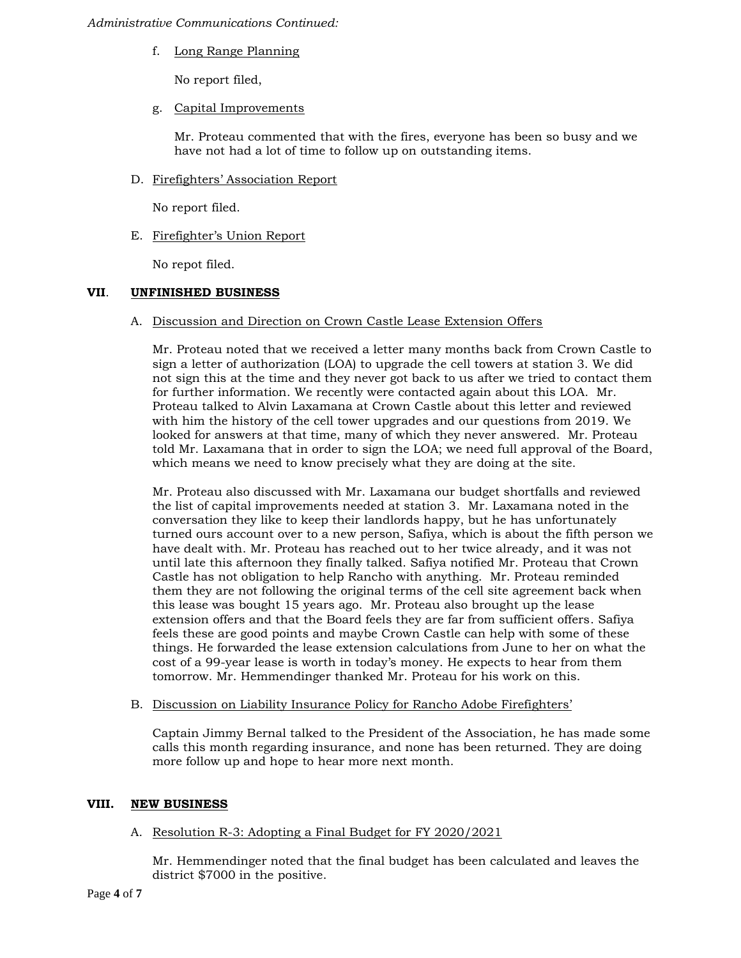## *Administrative Communications Continued:*

f. Long Range Planning

No report filed,

g. Capital Improvements

Mr. Proteau commented that with the fires, everyone has been so busy and we have not had a lot of time to follow up on outstanding items.

D. Firefighters' Association Report

No report filed.

E. Firefighter's Union Report

No repot filed.

# **VII**. **UNFINISHED BUSINESS**

A. Discussion and Direction on Crown Castle Lease Extension Offers

Mr. Proteau noted that we received a letter many months back from Crown Castle to sign a letter of authorization (LOA) to upgrade the cell towers at station 3. We did not sign this at the time and they never got back to us after we tried to contact them for further information. We recently were contacted again about this LOA. Mr. Proteau talked to Alvin Laxamana at Crown Castle about this letter and reviewed with him the history of the cell tower upgrades and our questions from 2019. We looked for answers at that time, many of which they never answered. Mr. Proteau told Mr. Laxamana that in order to sign the LOA; we need full approval of the Board, which means we need to know precisely what they are doing at the site.

Mr. Proteau also discussed with Mr. Laxamana our budget shortfalls and reviewed the list of capital improvements needed at station 3. Mr. Laxamana noted in the conversation they like to keep their landlords happy, but he has unfortunately turned ours account over to a new person, Safiya, which is about the fifth person we have dealt with. Mr. Proteau has reached out to her twice already, and it was not until late this afternoon they finally talked. Safiya notified Mr. Proteau that Crown Castle has not obligation to help Rancho with anything. Mr. Proteau reminded them they are not following the original terms of the cell site agreement back when this lease was bought 15 years ago. Mr. Proteau also brought up the lease extension offers and that the Board feels they are far from sufficient offers. Safiya feels these are good points and maybe Crown Castle can help with some of these things. He forwarded the lease extension calculations from June to her on what the cost of a 99-year lease is worth in today's money. He expects to hear from them tomorrow. Mr. Hemmendinger thanked Mr. Proteau for his work on this.

B. Discussion on Liability Insurance Policy for Rancho Adobe Firefighters'

Captain Jimmy Bernal talked to the President of the Association, he has made some calls this month regarding insurance, and none has been returned. They are doing more follow up and hope to hear more next month.

## **VIII. NEW BUSINESS**

## A. Resolution R-3: Adopting a Final Budget for FY 2020/2021

Mr. Hemmendinger noted that the final budget has been calculated and leaves the district \$7000 in the positive.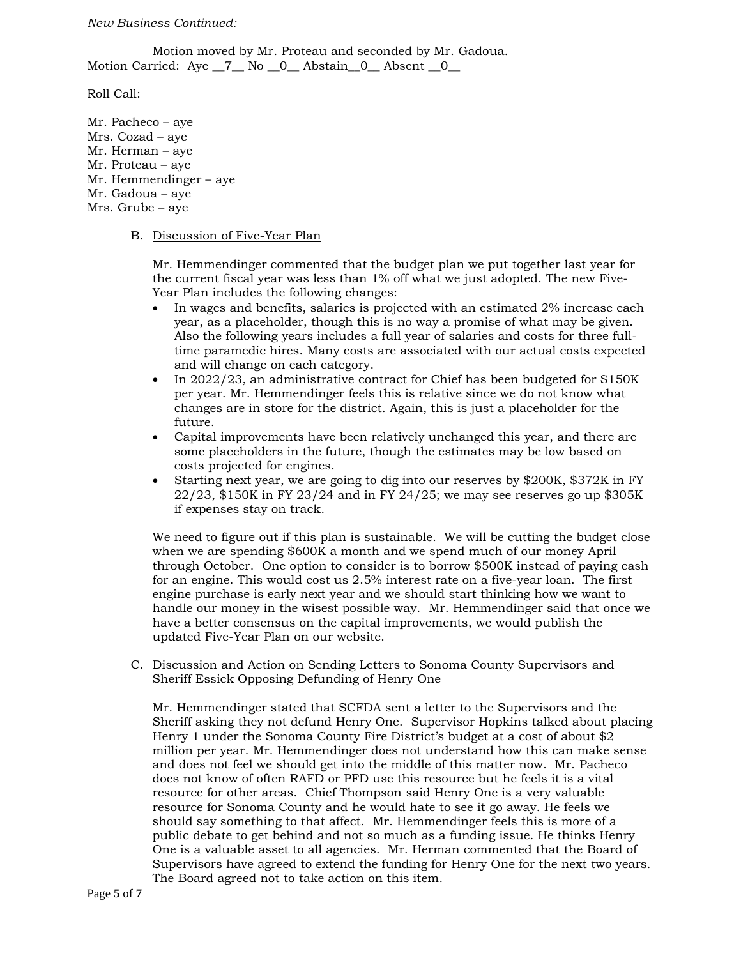#### *New Business Continued:*

Motion moved by Mr. Proteau and seconded by Mr. Gadoua. Motion Carried: Aye \_7\_ No \_0\_ Abstain\_0\_ Absent \_0\_

Roll Call:

Mr. Pacheco – aye Mrs. Cozad – aye Mr. Herman – aye Mr. Proteau – aye Mr. Hemmendinger – aye Mr. Gadoua – aye Mrs. Grube – aye

#### B. Discussion of Five-Year Plan

Mr. Hemmendinger commented that the budget plan we put together last year for the current fiscal year was less than 1% off what we just adopted. The new Five-Year Plan includes the following changes:

- In wages and benefits, salaries is projected with an estimated 2% increase each year, as a placeholder, though this is no way a promise of what may be given. Also the following years includes a full year of salaries and costs for three fulltime paramedic hires. Many costs are associated with our actual costs expected and will change on each category.
- In 2022/23, an administrative contract for Chief has been budgeted for \$150K per year. Mr. Hemmendinger feels this is relative since we do not know what changes are in store for the district. Again, this is just a placeholder for the future.
- Capital improvements have been relatively unchanged this year, and there are some placeholders in the future, though the estimates may be low based on costs projected for engines.
- Starting next year, we are going to dig into our reserves by \$200K, \$372K in FY 22/23, \$150K in FY 23/24 and in FY 24/25; we may see reserves go up \$305K if expenses stay on track.

We need to figure out if this plan is sustainable. We will be cutting the budget close when we are spending \$600K a month and we spend much of our money April through October. One option to consider is to borrow \$500K instead of paying cash for an engine. This would cost us 2.5% interest rate on a five-year loan. The first engine purchase is early next year and we should start thinking how we want to handle our money in the wisest possible way. Mr. Hemmendinger said that once we have a better consensus on the capital improvements, we would publish the updated Five-Year Plan on our website.

## C. Discussion and Action on Sending Letters to Sonoma County Supervisors and Sheriff Essick Opposing Defunding of Henry One

Mr. Hemmendinger stated that SCFDA sent a letter to the Supervisors and the Sheriff asking they not defund Henry One. Supervisor Hopkins talked about placing Henry 1 under the Sonoma County Fire District's budget at a cost of about \$2 million per year. Mr. Hemmendinger does not understand how this can make sense and does not feel we should get into the middle of this matter now. Mr. Pacheco does not know of often RAFD or PFD use this resource but he feels it is a vital resource for other areas. Chief Thompson said Henry One is a very valuable resource for Sonoma County and he would hate to see it go away. He feels we should say something to that affect. Mr. Hemmendinger feels this is more of a public debate to get behind and not so much as a funding issue. He thinks Henry One is a valuable asset to all agencies. Mr. Herman commented that the Board of Supervisors have agreed to extend the funding for Henry One for the next two years. The Board agreed not to take action on this item.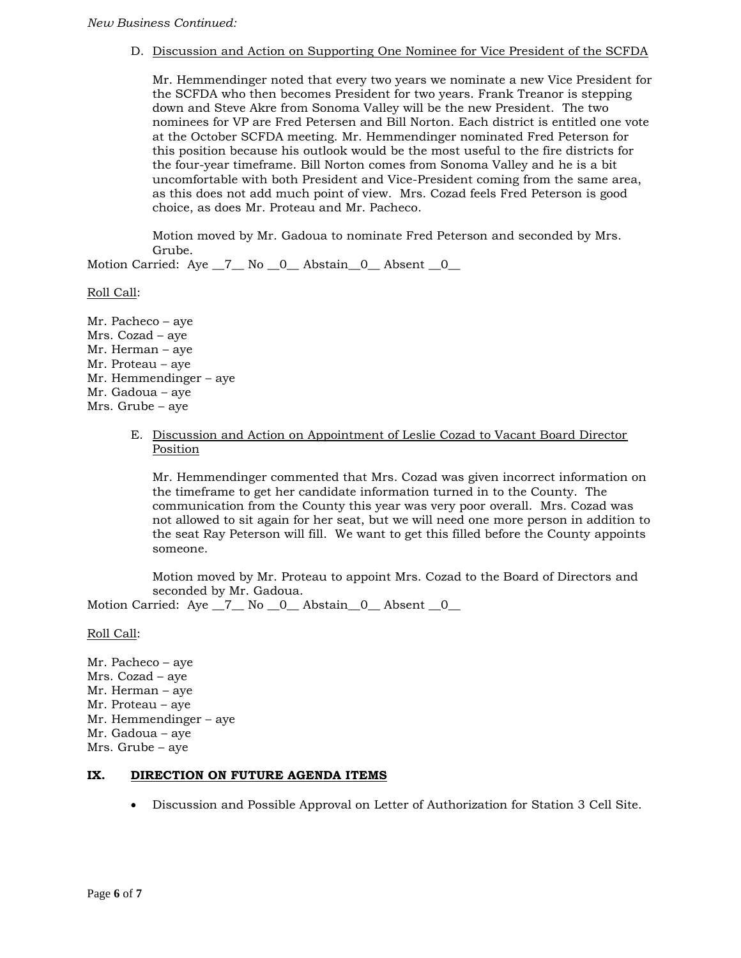# D. Discussion and Action on Supporting One Nominee for Vice President of the SCFDA

Mr. Hemmendinger noted that every two years we nominate a new Vice President for the SCFDA who then becomes President for two years. Frank Treanor is stepping down and Steve Akre from Sonoma Valley will be the new President. The two nominees for VP are Fred Petersen and Bill Norton. Each district is entitled one vote at the October SCFDA meeting. Mr. Hemmendinger nominated Fred Peterson for this position because his outlook would be the most useful to the fire districts for the four-year timeframe. Bill Norton comes from Sonoma Valley and he is a bit uncomfortable with both President and Vice-President coming from the same area, as this does not add much point of view. Mrs. Cozad feels Fred Peterson is good choice, as does Mr. Proteau and Mr. Pacheco.

Motion moved by Mr. Gadoua to nominate Fred Peterson and seconded by Mrs. Grube.

Motion Carried: Aye \_7\_ No \_0\_ Abstain \_0\_ Absent \_0\_

Roll Call:

Mr. Pacheco – aye Mrs. Cozad – aye Mr. Herman – aye Mr. Proteau – aye Mr. Hemmendinger – aye Mr. Gadoua – aye Mrs. Grube – aye

> E. Discussion and Action on Appointment of Leslie Cozad to Vacant Board Director Position

Mr. Hemmendinger commented that Mrs. Cozad was given incorrect information on the timeframe to get her candidate information turned in to the County. The communication from the County this year was very poor overall. Mrs. Cozad was not allowed to sit again for her seat, but we will need one more person in addition to the seat Ray Peterson will fill. We want to get this filled before the County appoints someone.

Motion moved by Mr. Proteau to appoint Mrs. Cozad to the Board of Directors and seconded by Mr. Gadoua.

Motion Carried: Aye \_7\_ No \_0\_ Abstain\_0\_ Absent \_0\_

Roll Call:

Mr. Pacheco – aye Mrs. Cozad – aye Mr. Herman – aye Mr. Proteau – aye Mr. Hemmendinger – aye Mr. Gadoua – aye Mrs. Grube – aye

# **IX. DIRECTION ON FUTURE AGENDA ITEMS**

Discussion and Possible Approval on Letter of Authorization for Station 3 Cell Site.